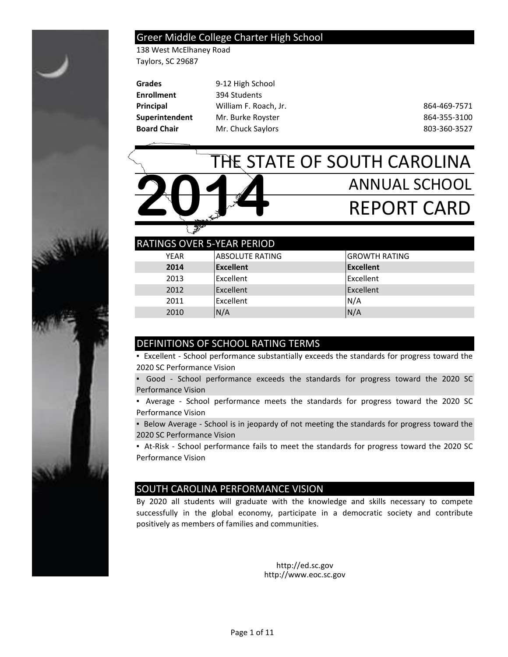

### Greer Middle College Charter High School

138 West McElhaney Road Taylors, SC 29687

| <b>Grades</b>      | 9-12 High School      |              |
|--------------------|-----------------------|--------------|
| <b>Enrollment</b>  | 394 Students          |              |
| Principal          | William F. Roach, Jr. | 864-469-7571 |
| Superintendent     | Mr. Burke Royster     | 864-355-3100 |
| <b>Board Chair</b> | Mr. Chuck Saylors     | 803-360-3527 |

# THE STATE OF SOUTH CAROLINA ANNUAL SCHOOL REPORT CARD **2014**

| <b>RATINGS OVER 5-YEAR PERIOD</b> |                        |                      |
|-----------------------------------|------------------------|----------------------|
| <b>YEAR</b>                       | <b>ABSOLUTE RATING</b> | <b>GROWTH RATING</b> |
| 2014                              | Excellent              | <b>Excellent</b>     |
| 2013                              | Excellent              | Excellent            |
| 2012                              | Excellent              | Excellent            |
| 2011                              | Excellent              | N/A                  |
| 2010                              | N/A                    | N/A                  |

# DEFINITIONS OF SCHOOL RATING TERMS

▪ Excellent - School performance substantially exceeds the standards for progress toward the 2020 SC Performance Vision

▪ Good - School performance exceeds the standards for progress toward the 2020 SC Performance Vision

▪ Average - School performance meets the standards for progress toward the 2020 SC Performance Vision

**• Below Average - School is in jeopardy of not meeting the standards for progress toward the** 2020 SC Performance Vision

▪ At-Risk - School performance fails to meet the standards for progress toward the 2020 SC Performance Vision

## SOUTH CAROLINA PERFORMANCE VISION

By 2020 all students will graduate with the knowledge and skills necessary to compete successfully in the global economy, participate in a democratic society and contribute positively as members of families and communities.

> http://ed.sc.gov http://www.eoc.sc.gov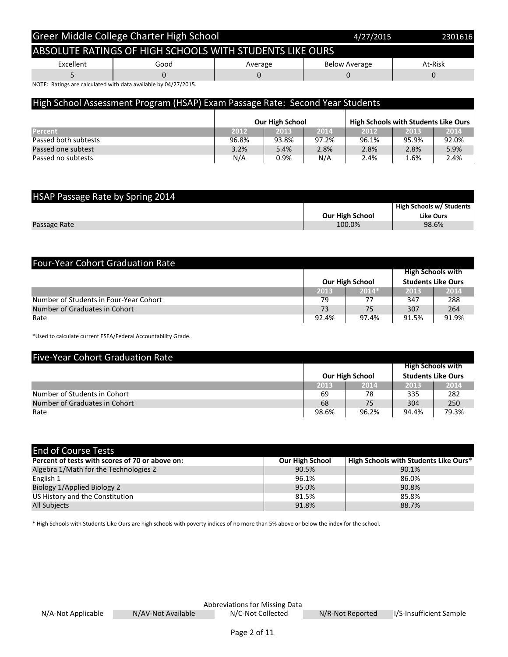|           | Greer Middle College Charter High School                 |         | 4/27/2015            | 2301616 |
|-----------|----------------------------------------------------------|---------|----------------------|---------|
|           | ABSOLUTE RATINGS OF HIGH SCHOOLS WITH STUDENTS LIKE OURS |         |                      |         |
| Excellent | Good                                                     | Average | <b>Below Average</b> | At-Risk |
|           |                                                          |         |                      |         |

NOTE: Ratings are calculated with data available by 04/27/2015.

| High School Assessment Program (HSAP) Exam Passage Rate: Second Year Students |       |                        |       |                                             |       |       |
|-------------------------------------------------------------------------------|-------|------------------------|-------|---------------------------------------------|-------|-------|
|                                                                               |       | <b>Our High School</b> |       | <b>High Schools with Students Like Ours</b> |       |       |
| Percent                                                                       | 2012  | 2013                   | 2014  | 2012                                        | 2013  | 2014  |
| Passed both subtests                                                          | 96.8% | 93.8%                  | 97.2% | 96.1%                                       | 95.9% | 92.0% |
| Passed one subtest                                                            | 3.2%  | 5.4%                   | 2.8%  | 2.8%                                        | 2.8%  | 5.9%  |
| Passed no subtests                                                            | N/A   | 0.9%                   | N/A   | 2.4%                                        | 1.6%  | 2.4%  |

| HSAP Passage Rate by Spring 2014 |                        |                                 |
|----------------------------------|------------------------|---------------------------------|
|                                  |                        | <b>High Schools w/ Students</b> |
|                                  | <b>Our High School</b> | <b>Like Ours</b>                |
| Passage Rate                     | 100.0%                 | 98.6%                           |

| <b>Four-Year Cohort Graduation Rate</b> |       |                        |       |                           |
|-----------------------------------------|-------|------------------------|-------|---------------------------|
|                                         |       |                        |       | <b>High Schools with</b>  |
|                                         |       | <b>Our High School</b> |       | <b>Students Like Ours</b> |
|                                         | 2013  | $2014*$                | 2013  | 2014                      |
| Number of Students in Four-Year Cohort  | 79    | 77                     | 347   | 288                       |
| Number of Graduates in Cohort           | 73    | 75                     | 307   | 264                       |
| Rate                                    | 92.4% | 97.4%                  | 91.5% | 91.9%                     |

\*Used to calculate current ESEA/Federal Accountability Grade.

| <b>Five-Year Cohort Graduation Rate</b> |       |                        |       |                           |
|-----------------------------------------|-------|------------------------|-------|---------------------------|
|                                         |       |                        |       | <b>High Schools with</b>  |
|                                         |       | <b>Our High School</b> |       | <b>Students Like Ours</b> |
|                                         | 2013  | 2014                   | 2013  | 2014                      |
| Number of Students in Cohort            | 69    | 78                     | 335   | 282                       |
| Number of Graduates in Cohort           | 68    | 75                     | 304   | 250                       |
| Rate                                    | 98.6% | 96.2%                  | 94.4% | 79.3%                     |

| <b>End of Course Tests</b>                      |                        |                                       |
|-------------------------------------------------|------------------------|---------------------------------------|
| Percent of tests with scores of 70 or above on: | <b>Our High School</b> | High Schools with Students Like Ours* |
| Algebra 1/Math for the Technologies 2           | 90.5%                  | 90.1%                                 |
| English 1                                       | 96.1%                  | 86.0%                                 |
| Biology 1/Applied Biology 2                     | 95.0%                  | 90.8%                                 |
| US History and the Constitution                 | 81.5%                  | 85.8%                                 |
| <b>All Subjects</b>                             | 91.8%                  | 88.7%                                 |

\* High Schools with Students Like Ours are high schools with poverty indices of no more than 5% above or below the index for the school.

N/AV-Not Available

Abbreviations for Missing Data<br>
N/C-Not Collected
N/R-Not Reported N/C-Not Collected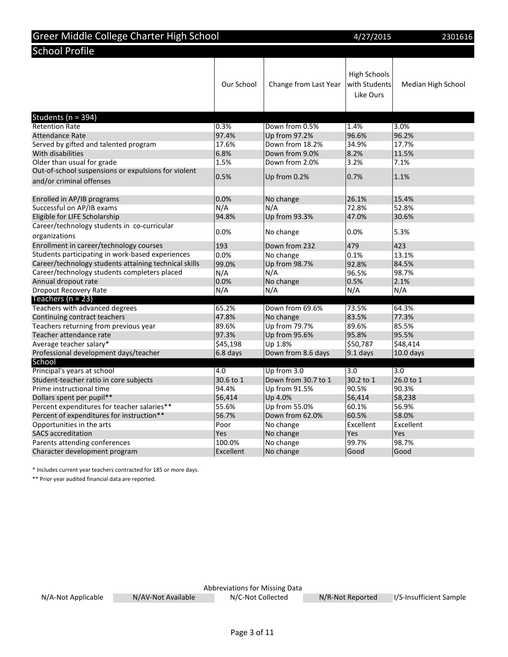| Greer Middle College Charter High School                                        |              |                        | 4/27/2015                                         | 2301616            |
|---------------------------------------------------------------------------------|--------------|------------------------|---------------------------------------------------|--------------------|
| <b>School Profile</b>                                                           |              |                        |                                                   |                    |
|                                                                                 | Our School   | Change from Last Year  | <b>High Schools</b><br>with Students<br>Like Ours | Median High School |
| Students (n = 394)                                                              |              |                        |                                                   |                    |
| <b>Retention Rate</b>                                                           | 0.3%         | Down from 0.5%         | 1.4%                                              | 3.0%               |
| <b>Attendance Rate</b>                                                          | 97.4%        | Up from 97.2%          | 96.6%                                             | 96.2%              |
| Served by gifted and talented program                                           | 17.6%        | Down from 18.2%        | 34.9%                                             | 17.7%              |
| With disabilities                                                               | 6.8%         | Down from 9.0%         | 8.2%                                              | 11.5%              |
| Older than usual for grade                                                      | 1.5%         | Down from 2.0%         | 3.2%                                              | 7.1%               |
| Out-of-school suspensions or expulsions for violent<br>and/or criminal offenses | 0.5%         | Up from 0.2%           | 0.7%                                              | 1.1%               |
|                                                                                 |              |                        |                                                   |                    |
| Enrolled in AP/IB programs                                                      | 0.0%         | No change              | 26.1%                                             | 15.4%              |
| Successful on AP/IB exams<br>Eligible for LIFE Scholarship                      | N/A<br>94.8% | N/A                    | 72.8%<br>47.0%                                    | 52.8%<br>30.6%     |
| Career/technology students in co-curricular                                     |              | Up from 93.3%          |                                                   |                    |
| organizations                                                                   | 0.0%         | No change              | 0.0%                                              | 5.3%               |
| Enrollment in career/technology courses                                         | 193          | Down from 232          | 479                                               | 423                |
| Students participating in work-based experiences                                | 0.0%         | No change              | 0.1%                                              | 13.1%              |
| Career/technology students attaining technical skills                           | 99.0%        | Up from 98.7%          | 92.8%                                             | 84.5%              |
| Career/technology students completers placed                                    | N/A          | N/A                    | 96.5%                                             | 98.7%              |
| Annual dropout rate                                                             | 0.0%         | No change              | 0.5%                                              | 2.1%               |
| <b>Dropout Recovery Rate</b>                                                    | N/A          | N/A                    | N/A                                               | N/A                |
| Teachers ( $n = 23$ )                                                           |              |                        |                                                   |                    |
| Teachers with advanced degrees                                                  | 65.2%        | Down from 69.6%        | 73.5%                                             | 64.3%              |
| Continuing contract teachers                                                    | 47.8%        | No change              | 83.5%                                             | 77.3%              |
| Teachers returning from previous year                                           | 89.6%        | Up from 79.7%          | 89.6%                                             | 85.5%              |
| Teacher attendance rate                                                         | 97.3%        | Up from 95.6%          | 95.8%                                             | 95.5%              |
| Average teacher salary*                                                         | \$45,198     | Up 1.8%                | \$50,787                                          | \$48,414           |
| Professional development days/teacher                                           | 6.8 days     | Down from 8.6 days     | $9.1$ days                                        | $10.0$ days        |
| School                                                                          |              |                        |                                                   |                    |
| Principal's years at school                                                     | 4.0          | Up from 3.0            | $\overline{3.0}$                                  | 3.0                |
| Student-teacher ratio in core subjects                                          | 30.6 to 1    | Down from 30.7 to 1    | 30.2 to 1                                         | 26.0 to 1          |
| Prime instructional time                                                        | 94.4%        | Up from 91.5%          | 90.5%                                             | 90.3%              |
| Dollars spent per pupil**                                                       | \$6,414      | Up 4.0%                | \$6,414                                           | \$8,238            |
| Percent expenditures for teacher salaries**                                     | 55.6%        | Up from 55.0%          | 60.1%                                             | 56.9%              |
| Percent of expenditures for instruction**                                       | 56.7%        | Down from 62.0%        | 60.5%<br>Excellent                                | 58.0%              |
| Opportunities in the arts<br><b>SACS</b> accreditation                          | Poor<br>Yes  | No change              | Yes                                               | Excellent<br>Yes   |
| Parents attending conferences                                                   | 100.0%       | No change<br>No change | 99.7%                                             | 98.7%              |
| Character development program                                                   |              |                        |                                                   |                    |
|                                                                                 | Excellent    | No change              | Good                                              | Good               |

\* Includes current year teachers contracted for 185 or more days.

\*\* Prior year audited financial data are reported.

N/A-Not Applicable N/AV-Not Available

Abbreviations for Missing Data Abbreviations for Missing Data N/C-Not Collected N/R-Not Reported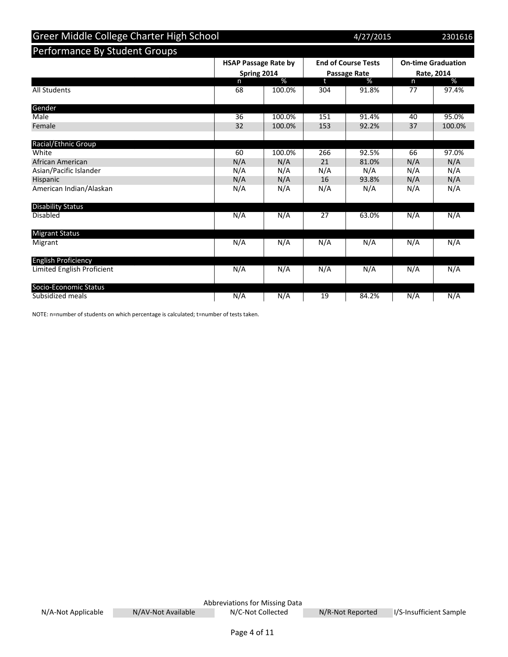| Greer Middle College Charter High School |                                            |        |     | 4/27/2015                                         |     | 2301616                                 |
|------------------------------------------|--------------------------------------------|--------|-----|---------------------------------------------------|-----|-----------------------------------------|
| Performance By Student Groups            |                                            |        |     |                                                   |     |                                         |
|                                          | <b>HSAP Passage Rate by</b><br>Spring 2014 |        |     | <b>End of Course Tests</b><br><b>Passage Rate</b> |     | <b>On-time Graduation</b><br>Rate, 2014 |
|                                          | n.                                         | %      | t.  | %                                                 | n   | %                                       |
| <b>All Students</b>                      | 68                                         | 100.0% | 304 | 91.8%                                             | 77  | 97.4%                                   |
| Gender                                   |                                            |        |     |                                                   |     |                                         |
| Male                                     | 36                                         | 100.0% | 151 | 91.4%                                             | 40  | 95.0%                                   |
| Female                                   | 32                                         | 100.0% | 153 | 92.2%                                             | 37  | 100.0%                                  |
| Racial/Ethnic Group                      |                                            |        |     |                                                   |     |                                         |
| White                                    | 60                                         | 100.0% | 266 | 92.5%                                             | 66  | 97.0%                                   |
| African American                         | N/A                                        | N/A    | 21  | 81.0%                                             | N/A | N/A                                     |
| Asian/Pacific Islander                   | N/A                                        | N/A    | N/A | N/A                                               | N/A | N/A                                     |
| Hispanic                                 | N/A                                        | N/A    | 16  | 93.8%                                             | N/A | N/A                                     |
| American Indian/Alaskan                  | N/A                                        | N/A    | N/A | N/A                                               | N/A | N/A                                     |
| <b>Disability Status</b>                 |                                            |        |     |                                                   |     |                                         |
| <b>Disabled</b>                          | N/A                                        | N/A    | 27  | 63.0%                                             | N/A | N/A                                     |
| <b>Migrant Status</b>                    |                                            |        |     |                                                   |     |                                         |
| Migrant                                  | N/A                                        | N/A    | N/A | N/A                                               | N/A | N/A                                     |
| <b>English Proficiency</b>               |                                            |        |     |                                                   |     |                                         |
| Limited English Proficient               | N/A                                        | N/A    | N/A | N/A                                               | N/A | N/A                                     |
| Socio-Economic Status                    |                                            |        |     |                                                   |     |                                         |
| Subsidized meals                         | N/A                                        | N/A    | 19  | 84.2%                                             | N/A | N/A                                     |

NOTE: n=number of students on which percentage is calculated; t=number of tests taken.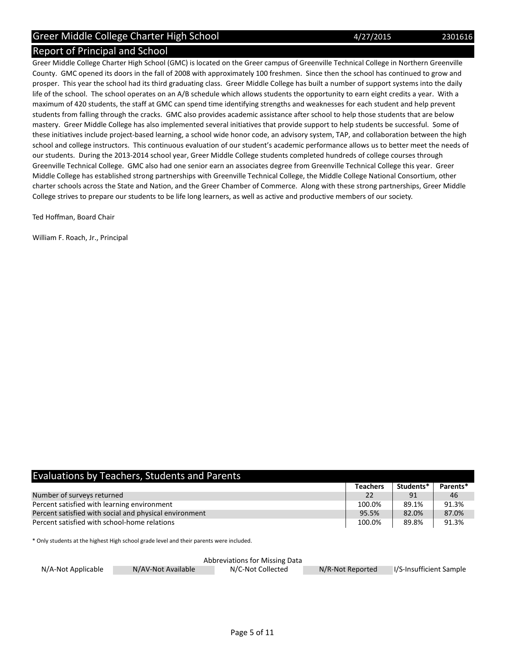### Report of Principal and School

Greer Middle College Charter High School (GMC) is located on the Greer campus of Greenville Technical College in Northern Greenville County. GMC opened its doors in the fall of 2008 with approximately 100 freshmen. Since then the school has continued to grow and prosper. This year the school had its third graduating class. Greer Middle College has built a number of support systems into the daily life of the school. The school operates on an A/B schedule which allows students the opportunity to earn eight credits a year. With a maximum of 420 students, the staff at GMC can spend time identifying strengths and weaknesses for each student and help prevent students from falling through the cracks. GMC also provides academic assistance after school to help those students that are below mastery. Greer Middle College has also implemented several initiatives that provide support to help students be successful. Some of these initiatives include project-based learning, a school wide honor code, an advisory system, TAP, and collaboration between the high school and college instructors. This continuous evaluation of our student's academic performance allows us to better meet the needs of our students. During the 2013-2014 school year, Greer Middle College students completed hundreds of college courses through Greenville Technical College. GMC also had one senior earn an associates degree from Greenville Technical College this year. Greer Middle College has established strong partnerships with Greenville Technical College, the Middle College National Consortium, other charter schools across the State and Nation, and the Greer Chamber of Commerce. Along with these strong partnerships, Greer Middle College strives to prepare our students to be life long learners, as well as active and productive members of our society.

Ted Hoffman, Board Chair

William F. Roach, Jr., Principal

| <b>Evaluations by Teachers, Students and Parents</b>   |                 |           |          |
|--------------------------------------------------------|-----------------|-----------|----------|
|                                                        | <b>Teachers</b> | Students* | Parents* |
| Number of surveys returned                             | 22              | 91        | 46       |
| Percent satisfied with learning environment            | 100.0%          | 89.1%     | 91.3%    |
| Percent satisfied with social and physical environment | 95.5%           | 82.0%     | 87.0%    |
| Percent satisfied with school-home relations           | 100.0%          | 89.8%     | 91.3%    |

\* Only students at the highest High school grade level and their parents were included.

|                    |                    | Abbreviations for Missing Data |                  |                         |
|--------------------|--------------------|--------------------------------|------------------|-------------------------|
| N/A-Not Applicable | N/AV-Not Available | N/C-Not Collected              | N/R-Not Reported | I/S-Insufficient Sample |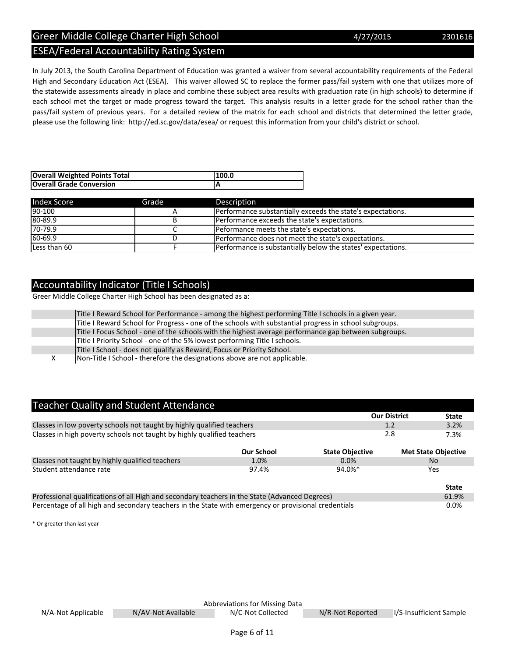Page 6 of 11

# ESEA/Federal Accountability Rating System

In July 2013, the South Carolina Department of Education was granted a waiver from several accountability requirements of the Federal High and Secondary Education Act (ESEA). This waiver allowed SC to replace the former pass/fail system with one that utilizes more of the statewide assessments already in place and combine these subject area results with graduation rate (in high schools) to determine if each school met the target or made progress toward the target. This analysis results in a letter grade for the school rather than the pass/fail system of previous years. For a detailed review of the matrix for each school and districts that determined the letter grade, please use the following link: http://ed.sc.gov/data/esea/ or request this information from your child's district or school.

| <b>Overall Weighted Points Total</b> | 100.0 |
|--------------------------------------|-------|
| <b>Overall Grade Conversion</b>      |       |

| <b>Index Score</b> | Grade | Description                                                  |
|--------------------|-------|--------------------------------------------------------------|
| $90-100$           |       | Performance substantially exceeds the state's expectations.  |
| 80-89.9            |       | Performance exceeds the state's expectations.                |
| $70 - 79.9$        | ◡     | Peformance meets the state's expectations.                   |
| $60 - 69.9$        |       | Performance does not meet the state's expectations.          |
| Less than 60       |       | Performance is substantially below the states' expectations. |

# Accountability Indicator (Title I Schools)

Greer Middle College Charter High School has been designated as a:

| Title I Reward School for Performance - among the highest performing Title I schools in a given year.  |
|--------------------------------------------------------------------------------------------------------|
| Title I Reward School for Progress - one of the schools with substantial progress in school subgroups. |
| Title I Focus School - one of the schools with the highest average performance gap between subgroups.  |
| Title I Priority School - one of the 5% lowest performing Title I schools.                             |
| Title I School - does not qualify as Reward, Focus or Priority School.                                 |
| Non-Title I School - therefore the designations above are not applicable.                              |

### Teacher Quality and Student Attendance

|                                                                                                      |                   |                        | <b>Our District</b><br><b>State</b> |  |  |  |  |
|------------------------------------------------------------------------------------------------------|-------------------|------------------------|-------------------------------------|--|--|--|--|
| Classes in low poverty schools not taught by highly qualified teachers                               |                   |                        | 3.2%<br>1.2                         |  |  |  |  |
| Classes in high poverty schools not taught by highly qualified teachers                              |                   | 2.8<br>7.3%            |                                     |  |  |  |  |
|                                                                                                      | <b>Our School</b> | <b>State Objective</b> | <b>Met State Objective</b>          |  |  |  |  |
| Classes not taught by highly qualified teachers                                                      | 1.0%              | 0.0%                   | No.                                 |  |  |  |  |
| Student attendance rate                                                                              | 97.4%             | $94.0\%$ <sup>*</sup>  | Yes                                 |  |  |  |  |
|                                                                                                      |                   |                        | <b>State</b>                        |  |  |  |  |
| Professional qualifications of all High and secondary teachers in the State (Advanced Degrees)       |                   |                        |                                     |  |  |  |  |
| Percentage of all high and secondary teachers in the State with emergency or provisional credentials |                   |                        |                                     |  |  |  |  |

\* Or greater than last year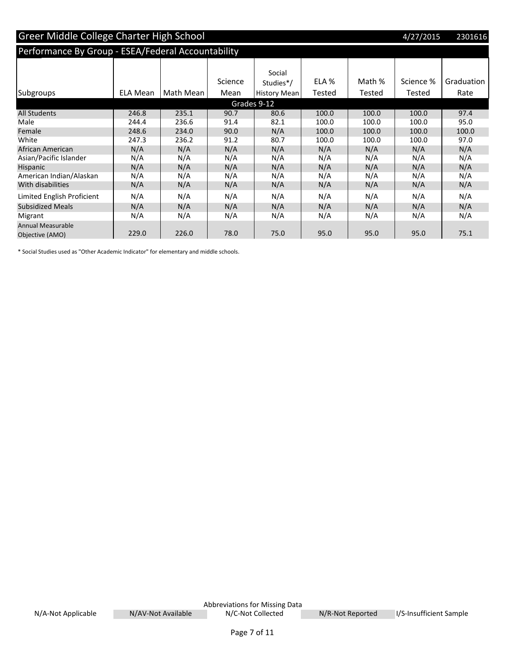| <b>Greer Middle College Charter High School</b><br>4/27/2015 |                 |           |         |              |        |        |           | 2301616    |
|--------------------------------------------------------------|-----------------|-----------|---------|--------------|--------|--------|-----------|------------|
| Performance By Group - ESEA/Federal Accountability           |                 |           |         |              |        |        |           |            |
|                                                              |                 |           |         |              |        |        |           |            |
|                                                              |                 |           |         | Social       |        |        |           |            |
|                                                              |                 |           | Science | Studies*/    | ELA %  | Math % | Science % | Graduation |
| Subgroups                                                    | <b>ELA Mean</b> | Math Mean | Mean    | History Mean | Tested | Tested | Tested    | Rate       |
|                                                              |                 |           |         | Grades 9-12  |        |        |           |            |
| <b>All Students</b>                                          | 246.8           | 235.1     | 90.7    | 80.6         | 100.0  | 100.0  | 100.0     | 97.4       |
| Male                                                         | 244.4           | 236.6     | 91.4    | 82.1         | 100.0  | 100.0  | 100.0     | 95.0       |
| Female                                                       | 248.6           | 234.0     | 90.0    | N/A          | 100.0  | 100.0  | 100.0     | 100.0      |
| White                                                        | 247.3           | 236.2     | 91.2    | 80.7         | 100.0  | 100.0  | 100.0     | 97.0       |
| African American                                             | N/A             | N/A       | N/A     | N/A          | N/A    | N/A    | N/A       | N/A        |
| Asian/Pacific Islander                                       | N/A             | N/A       | N/A     | N/A          | N/A    | N/A    | N/A       | N/A        |
| <b>Hispanic</b>                                              | N/A             | N/A       | N/A     | N/A          | N/A    | N/A    | N/A       | N/A        |
| American Indian/Alaskan                                      | N/A             | N/A       | N/A     | N/A          | N/A    | N/A    | N/A       | N/A        |
| With disabilities                                            | N/A             | N/A       | N/A     | N/A          | N/A    | N/A    | N/A       | N/A        |
| Limited English Proficient                                   | N/A             | N/A       | N/A     | N/A          | N/A    | N/A    | N/A       | N/A        |
| <b>Subsidized Meals</b>                                      | N/A             | N/A       | N/A     | N/A          | N/A    | N/A    | N/A       | N/A        |
| Migrant                                                      | N/A             | N/A       | N/A     | N/A          | N/A    | N/A    | N/A       | N/A        |
| <b>Annual Measurable</b><br>Objective (AMO)                  | 229.0           | 226.0     | 78.0    | 75.0         | 95.0   | 95.0   | 95.0      | 75.1       |

\* Social Studies used as "Other Academic Indicator" for elementary and middle schools.

Abbreviations for Missing Data N/A-Not Applicable N/AV-Not Available N/C-Not Collected N/R-Not Reported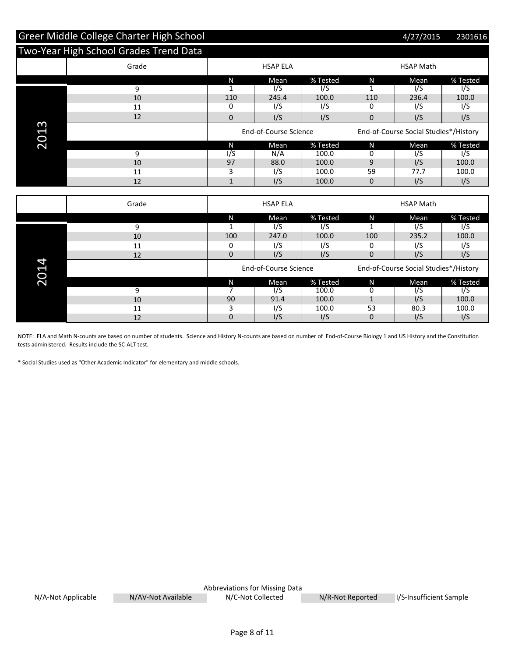|          | Greer Middle College Charter High School |                |                       |                  |                                       | 4/27/2015                             | 2301616       |
|----------|------------------------------------------|----------------|-----------------------|------------------|---------------------------------------|---------------------------------------|---------------|
|          | Two-Year High School Grades Trend Data   |                |                       |                  |                                       |                                       |               |
|          | Grade                                    |                | <b>HSAP ELA</b>       |                  |                                       | <b>HSAP Math</b>                      |               |
|          |                                          | N              | Mean                  | % Tested         | N                                     | Mean                                  | % Tested      |
|          | 9                                        | $\mathbf{1}$   | 1/S                   | $\sqrt{S}$       | $\mathbf{1}$                          | 1/S                                   | 1/S           |
|          | 10                                       | 110            | 245.4                 | 100.0            | 110                                   | 236.4                                 | 100.0         |
|          | 11                                       | 0              | I/S                   | I/S              | 0                                     | I/S                                   | I/S           |
|          | 12                                       | 0              | I/S                   | I/S              | $\mathbf{0}$                          | I/S                                   | I/S           |
| 3<br>201 |                                          |                | End-of-Course Science |                  | End-of-Course Social Studies*/History |                                       |               |
|          |                                          | N              | Mean                  | % Tested         | N                                     | Mean                                  | % Tested      |
|          | 9                                        | 1/S            | N/A                   | 100.0            | 0                                     | $\frac{1}{5}$                         | 1/S           |
|          | 10                                       | 97             | 88.0                  | 100.0            | 9                                     | I/S                                   | 100.0         |
|          | 11                                       | 3              | I/S                   | 100.0            | 59                                    | 77.7                                  | 100.0         |
|          | 12                                       | $\mathbf{1}$   | I/S                   | 100.0            | $\mathbf{0}$                          | I/S                                   | I/S           |
|          |                                          |                |                       |                  |                                       |                                       |               |
|          | Grade                                    |                | <b>HSAP ELA</b>       |                  |                                       | <b>HSAP Math</b>                      |               |
|          |                                          | N              | Mean                  | % Tested         | N                                     | Mean                                  | % Tested      |
|          | 9                                        | $\mathbf{1}$   | $\sqrt{S}$            | $\overline{1/S}$ | $\mathbf{1}$                          | $\overline{1/S}$                      | I/S           |
|          | 10                                       | 100            | 247.0                 | 100.0            | 100                                   | 235.2                                 | 100.0         |
|          | 11                                       | 0              | I/S                   | I/S              | 0                                     | I/S                                   | I/S           |
|          | 12                                       | 0              | I/S                   | I/S              | $\mathbf{0}$                          | I/S                                   | I/S           |
| 2014     |                                          |                | End-of-Course Science |                  |                                       | End-of-Course Social Studies*/History |               |
|          |                                          | N              | Mean                  | % Tested         | N                                     | Mean                                  | % Tested      |
|          | 9                                        | $\overline{7}$ | $\sqrt{S}$            | 100.0            | 0                                     | $\frac{1}{5}$                         | $\frac{1}{5}$ |
|          | 10                                       | 90             | 91.4                  | 100.0            | $\mathbf{1}$                          | I/S                                   | 100.0         |
|          | 11                                       | 3              | I/S                   | 100.0            | 53                                    | 80.3                                  | 100.0         |
|          | 12                                       | 0              | I/S                   | I/S              | 0                                     | I/S                                   | I/S           |

NOTE: ELA and Math N-counts are based on number of students. Science and History N-counts are based on number of End-of-Course Biology 1 and US History and the Constitution tests administered. Results include the SC-ALT test.

\* Social Studies used as "Other Academic Indicator" for elementary and middle schools.

|                    |                    | Abbreviations for Missing Data |                  |                         |
|--------------------|--------------------|--------------------------------|------------------|-------------------------|
| N/A-Not Applicable | N/AV-Not Available | N/C-Not Collected              | N/R-Not Reported | I/S-Insufficient Sample |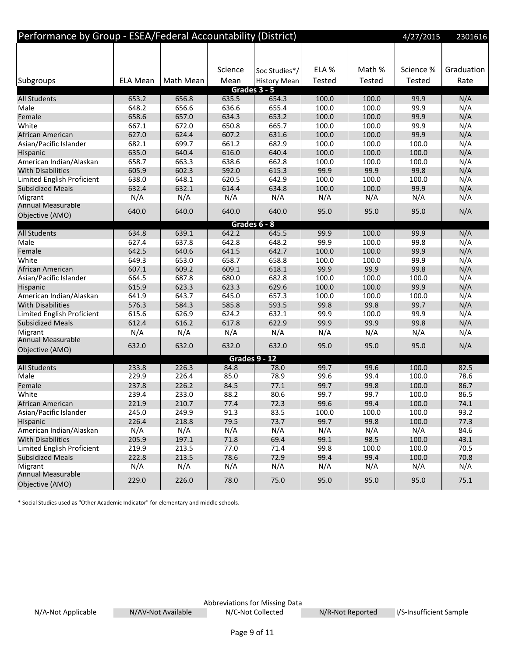| Performance by Group - ESEA/Federal Accountability (District) |                 |           |         |                      |        |        | 4/27/2015     | 2301616    |
|---------------------------------------------------------------|-----------------|-----------|---------|----------------------|--------|--------|---------------|------------|
|                                                               |                 |           |         |                      |        |        |               |            |
|                                                               |                 |           |         |                      |        |        |               |            |
|                                                               |                 |           | Science | Soc Studies*/        | ELA %  | Math % | Science %     | Graduation |
| Subgroups                                                     | <b>ELA Mean</b> | Math Mean | Mean    | <b>History Mean</b>  | Tested | Tested | <b>Tested</b> | Rate       |
|                                                               |                 |           |         | Grades 3 - 5         |        |        |               |            |
| <b>All Students</b>                                           | 653.2           | 656.8     | 635.5   | 654.3                | 100.0  | 100.0  | 99.9          | N/A        |
| Male                                                          | 648.2           | 656.6     | 636.6   | 655.4                | 100.0  | 100.0  | 99.9          | N/A        |
| Female                                                        | 658.6           | 657.0     | 634.3   | 653.2                | 100.0  | 100.0  | 99.9          | N/A        |
| White                                                         | 667.1           | 672.0     | 650.8   | 665.7                | 100.0  | 100.0  | 99.9          | N/A        |
| African American                                              | 627.0           | 624.4     | 607.2   | 631.6                | 100.0  | 100.0  | 99.9          | N/A        |
| Asian/Pacific Islander                                        | 682.1           | 699.7     | 661.2   | 682.9                | 100.0  | 100.0  | 100.0         | N/A        |
| Hispanic                                                      | 635.0           | 640.4     | 616.0   | 640.4                | 100.0  | 100.0  | 100.0         | N/A        |
| American Indian/Alaskan                                       | 658.7           | 663.3     | 638.6   | 662.8                | 100.0  | 100.0  | 100.0         | N/A        |
| <b>With Disabilities</b>                                      | 605.9           | 602.3     | 592.0   | 615.3                | 99.9   | 99.9   | 99.8          | N/A        |
| Limited English Proficient                                    | 638.0           | 648.1     | 620.5   | 642.9                | 100.0  | 100.0  | 100.0         | N/A        |
| <b>Subsidized Meals</b>                                       | 632.4           | 632.1     | 614.4   | 634.8                | 100.0  | 100.0  | 99.9          | N/A        |
| Migrant                                                       | N/A             | N/A       | N/A     | N/A                  | N/A    | N/A    | N/A           | N/A        |
| <b>Annual Measurable</b>                                      | 640.0           | 640.0     | 640.0   | 640.0                | 95.0   | 95.0   | 95.0          | N/A        |
| Objective (AMO)                                               |                 |           |         |                      |        |        |               |            |
|                                                               |                 |           |         | Grades 6 - 8         |        |        |               |            |
| <b>All Students</b>                                           | 634.8           | 639.1     | 642.2   | 645.5                | 99.9   | 100.0  | 99.9          | N/A        |
| Male                                                          | 627.4           | 637.8     | 642.8   | 648.2                | 99.9   | 100.0  | 99.8          | N/A        |
| Female                                                        | 642.5           | 640.6     | 641.5   | 642.7                | 100.0  | 100.0  | 99.9          | N/A        |
| White                                                         | 649.3           | 653.0     | 658.7   | 658.8                | 100.0  | 100.0  | 99.9          | N/A        |
| African American                                              | 607.1           | 609.2     | 609.1   | 618.1                | 99.9   | 99.9   | 99.8          | N/A        |
| Asian/Pacific Islander                                        | 664.5           | 687.8     | 680.0   | 682.8                | 100.0  | 100.0  | 100.0         | N/A        |
| Hispanic                                                      | 615.9           | 623.3     | 623.3   | 629.6                | 100.0  | 100.0  | 99.9          | N/A        |
| American Indian/Alaskan                                       | 641.9           | 643.7     | 645.0   | 657.3                | 100.0  | 100.0  | 100.0         | N/A        |
| <b>With Disabilities</b>                                      | 576.3           | 584.3     | 585.8   | 593.5                | 99.8   | 99.8   | 99.7          | N/A        |
| Limited English Proficient                                    | 615.6           | 626.9     | 624.2   | 632.1                | 99.9   | 100.0  | 99.9          | N/A        |
| <b>Subsidized Meals</b>                                       | 612.4           | 616.2     | 617.8   | 622.9                | 99.9   | 99.9   | 99.8          | N/A        |
| Migrant                                                       | N/A             | N/A       | N/A     | N/A                  | N/A    | N/A    | N/A           | N/A        |
| <b>Annual Measurable</b>                                      | 632.0           | 632.0     | 632.0   | 632.0                | 95.0   | 95.0   | 95.0          | N/A        |
| Objective (AMO)                                               |                 |           |         |                      |        |        |               |            |
|                                                               |                 |           |         | <b>Grades 9 - 12</b> |        |        |               |            |
| <b>All Students</b>                                           | 233.8           | 226.3     | 84.8    | 78.0                 | 99.7   | 99.6   | 100.0         | 82.5       |
| Male                                                          | 229.9           | 226.4     | 85.0    | 78.9                 | 99.6   | 99.4   | 100.0         | 78.6       |
| Female                                                        | 237.8           | 226.2     | 84.5    | 77.1                 | 99.7   | 99.8   | 100.0         | 86.7       |
| White                                                         | 239.4           | 233.0     | 88.2    | 80.6                 | 99.7   | 99.7   | 100.0         | 86.5       |
| African American                                              | 221.9           | 210.7     | 77.4    | 72.3                 | 99.6   | 99.4   | 100.0         | 74.1       |
| Asian/Pacific Islander                                        | 245.0           | 249.9     | 91.3    | 83.5                 | 100.0  | 100.0  | 100.0         | 93.2       |
| Hispanic                                                      | 226.4           | 218.8     | 79.5    | 73.7                 | 99.7   | 99.8   | 100.0         | 77.3       |
| American Indian/Alaskan                                       | N/A             | N/A       | N/A     | N/A                  | N/A    | N/A    | N/A           | 84.6       |
| <b>With Disabilities</b>                                      | 205.9           | 197.1     | 71.8    | 69.4                 | 99.1   | 98.5   | 100.0         | 43.1       |
| <b>Limited English Proficient</b>                             | 219.9           | 213.5     | 77.0    | 71.4                 | 99.8   | 100.0  | 100.0         | 70.5       |
| <b>Subsidized Meals</b>                                       | 222.8           | 213.5     | 78.6    | 72.9                 | 99.4   | 99.4   | 100.0         | 70.8       |
| Migrant                                                       | N/A             | N/A       | N/A     | N/A                  | N/A    | N/A    | N/A           | N/A        |
| <b>Annual Measurable</b>                                      | 229.0           | 226.0     | 78.0    | 75.0                 | 95.0   | 95.0   | 95.0          | 75.1       |
| Objective (AMO)                                               |                 |           |         |                      |        |        |               |            |

\* Social Studies used as "Other Academic Indicator" for elementary and middle schools.

Abbreviations for Missing Data N/A-Not Applicable N/AV-Not Available N/C-Not Collected N/R-Not Reported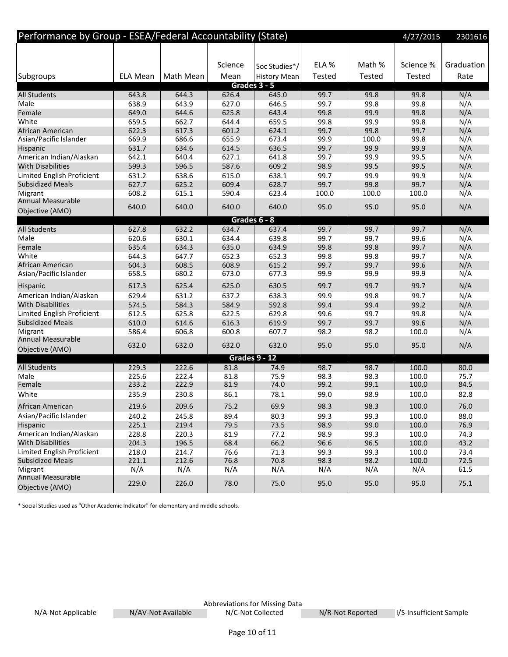| Performance by Group - ESEA/Federal Accountability (State) |                 |           |         |                     |               |        | 4/27/2015     | 2301616    |
|------------------------------------------------------------|-----------------|-----------|---------|---------------------|---------------|--------|---------------|------------|
|                                                            |                 |           |         |                     |               |        |               |            |
|                                                            |                 |           | Science | Soc Studies*/       | ELA %         | Math % | Science %     | Graduation |
| Subgroups                                                  | <b>ELA Mean</b> | Math Mean | Mean    | <b>History Mean</b> | <b>Tested</b> | Tested | <b>Tested</b> | Rate       |
|                                                            |                 |           |         | Grades 3 - 5        |               |        |               |            |
| <b>All Students</b>                                        | 643.8           | 644.3     | 626.4   | 645.0               | 99.7          | 99.8   | 99.8          | N/A        |
| Male                                                       | 638.9           | 643.9     | 627.0   | 646.5               | 99.7          | 99.8   | 99.8          | N/A        |
| Female                                                     | 649.0           | 644.6     | 625.8   | 643.4               | 99.8          | 99.9   | 99.8          | N/A        |
| White                                                      | 659.5           | 662.7     | 644.4   | 659.5               | 99.8          | 99.9   | 99.8          | N/A        |
| African American                                           | 622.3           | 617.3     | 601.2   | 624.1               | 99.7          | 99.8   | 99.7          | N/A        |
| Asian/Pacific Islander                                     | 669.9           | 686.6     | 655.9   | 673.4               | 99.9          | 100.0  | 99.8          | N/A        |
| Hispanic                                                   | 631.7           | 634.6     | 614.5   | 636.5               | 99.7          | 99.9   | 99.9          | N/A        |
| American Indian/Alaskan                                    | 642.1           | 640.4     | 627.1   | 641.8               | 99.7          | 99.9   | 99.5          | N/A        |
| <b>With Disabilities</b>                                   | 599.3           | 596.5     | 587.6   | 609.2               | 98.9          | 99.5   | 99.5          | N/A        |
| Limited English Proficient                                 | 631.2           | 638.6     | 615.0   | 638.1               | 99.7          | 99.9   | 99.9          | N/A        |
| <b>Subsidized Meals</b>                                    | 627.7           | 625.2     | 609.4   | 628.7               | 99.7          | 99.8   | 99.7          | N/A        |
| Migrant                                                    | 608.2           | 615.1     | 590.4   | 623.4               | 100.0         | 100.0  | 100.0         | N/A        |
| <b>Annual Measurable</b><br>Objective (AMO)                | 640.0           | 640.0     | 640.0   | 640.0               | 95.0          | 95.0   | 95.0          | N/A        |
|                                                            |                 |           |         | Grades 6 - 8        |               |        |               |            |
| <b>All Students</b>                                        | 627.8           | 632.2     | 634.7   | 637.4               | 99.7          | 99.7   | 99.7          | N/A        |
| Male                                                       | 620.6           | 630.1     | 634.4   | 639.8               | 99.7          | 99.7   | 99.6          | N/A        |
| Female                                                     | 635.4           | 634.3     | 635.0   | 634.9               | 99.8          | 99.8   | 99.7          | N/A        |
| White                                                      | 644.3           | 647.7     | 652.3   | 652.3               | 99.8          | 99.8   | 99.7          | N/A        |
| African American                                           | 604.3           | 608.5     | 608.9   | 615.2               | 99.7          | 99.7   | 99.6          | N/A        |
| Asian/Pacific Islander                                     | 658.5           | 680.2     | 673.0   | 677.3               | 99.9          | 99.9   | 99.9          | N/A        |
| Hispanic                                                   | 617.3           | 625.4     | 625.0   | 630.5               | 99.7          | 99.7   | 99.7          | N/A        |
| American Indian/Alaskan                                    | 629.4           | 631.2     | 637.2   | 638.3               | 99.9          | 99.8   | 99.7          | N/A        |
| <b>With Disabilities</b>                                   | 574.5           | 584.3     | 584.9   | 592.8               | 99.4          | 99.4   | 99.2          | N/A        |
| Limited English Proficient                                 | 612.5           | 625.8     | 622.5   | 629.8               | 99.6          | 99.7   | 99.8          | N/A        |
| <b>Subsidized Meals</b>                                    | 610.0           | 614.6     | 616.3   | 619.9               | 99.7          | 99.7   | 99.6          | N/A        |
| Migrant                                                    | 586.4           | 606.8     | 600.8   | 607.7               | 98.2          | 98.2   | 100.0         | N/A        |
| Annual Measurable                                          | 632.0           | 632.0     | 632.0   | 632.0               | 95.0          | 95.0   | 95.0          | N/A        |
| Objective (AMO)                                            |                 |           |         | Grades 9 - 12       |               |        |               |            |
| <b>All Students</b>                                        | 229.3           | 222.6     | 81.8    | 74.9                | 98.7          | 98.7   | 100.0         | 80.0       |
| Male                                                       | 225.6           | 222.4     | 81.8    | 75.9                | 98.3          | 98.3   | 100.0         | 75.7       |
| Female                                                     | 233.2           | 222.9     | 81.9    | 74.0                | 99.2          | 99.1   | 100.0         | 84.5       |
| White                                                      | 235.9           | 230.8     | 86.1    | 78.1                | 99.0          | 98.9   | 100.0         | 82.8       |
| African American                                           | 219.6           | 209.6     | 75.2    | 69.9                | 98.3          | 98.3   | 100.0         | 76.0       |
| Asian/Pacific Islander                                     | 240.2           | 245.8     | 89.4    | 80.3                | 99.3          | 99.3   | 100.0         | 88.0       |
| Hispanic                                                   | 225.1           | 219.4     | 79.5    | 73.5                | 98.9          | 99.0   | 100.0         | 76.9       |
| American Indian/Alaskan                                    | 228.8           | 220.3     | 81.9    | 77.2                | 98.9          | 99.3   | 100.0         | 74.3       |
| <b>With Disabilities</b>                                   | 204.3           | 196.5     | 68.4    | 66.2                | 96.6          | 96.5   | 100.0         | 43.2       |
| Limited English Proficient                                 | 218.0           | 214.7     | 76.6    | 71.3                | 99.3          | 99.3   | 100.0         | 73.4       |
| <b>Subsidized Meals</b>                                    | 221.1           | 212.6     | 76.8    | 70.8                | 98.3          | 98.2   | 100.0         | 72.5       |
| Migrant                                                    | N/A             | N/A       | N/A     | N/A                 | N/A           | N/A    | N/A           | 61.5       |
| Annual Measurable                                          |                 |           |         |                     |               |        |               |            |
| Objective (AMO)                                            | 229.0           | 226.0     | 78.0    | 75.0                | 95.0          | 95.0   | 95.0          | 75.1       |

\* Social Studies used as "Other Academic Indicator" for elementary and middle schools.

Abbreviations for Missing Data N/A-Not Applicable M/AV-Not Available N/C-Not Collected N/R-Not Reported